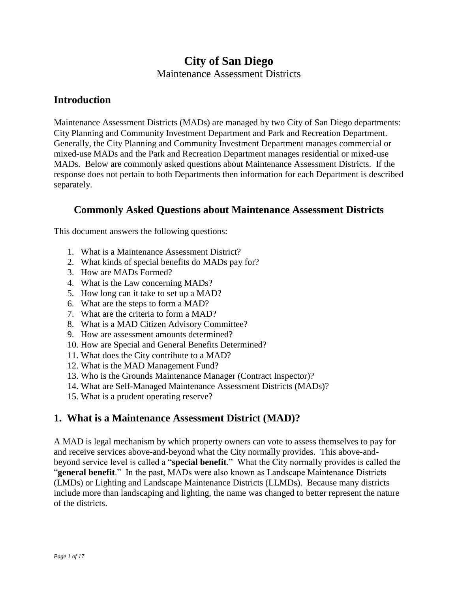# **City of San Diego**

Maintenance Assessment Districts

### **Introduction**

Maintenance Assessment Districts (MADs) are managed by two City of San Diego departments: City Planning and Community Investment Department and Park and Recreation Department. Generally, the City Planning and Community Investment Department manages commercial or mixed-use MADs and the Park and Recreation Department manages residential or mixed-use MADs. Below are commonly asked questions about Maintenance Assessment Districts. If the response does not pertain to both Departments then information for each Department is described separately.

### **Commonly Asked Questions about Maintenance Assessment Districts**

This document answers the following questions:

- 1. What is a Maintenance Assessment District?
- 2. What kinds of special benefits do MADs pay for?
- 3. How are MADs Formed?
- 4. What is the Law concerning MADs?
- 5. How long can it take to set up a MAD?
- 6. What are the steps to form a MAD?
- 7. What are the criteria to form a MAD?
- 8. What is a MAD Citizen Advisory Committee?
- 9. How are assessment amounts determined?
- 10. How are Special and General Benefits Determined?
- 11. What does the City contribute to a MAD?
- 12. What is the MAD Management Fund?
- 13. Who is the Grounds Maintenance Manager (Contract Inspector)?
- 14. What are Self-Managed Maintenance Assessment Districts (MADs)?
- 15. What is a prudent operating reserve?

### **1. What is a Maintenance Assessment District (MAD)?**

A MAD is legal mechanism by which property owners can vote to assess themselves to pay for and receive services above-and-beyond what the City normally provides. This above-andbeyond service level is called a "**special benefit**." What the City normally provides is called the "**general benefit**." In the past, MADs were also known as Landscape Maintenance Districts (LMDs) or Lighting and Landscape Maintenance Districts (LLMDs). Because many districts include more than landscaping and lighting, the name was changed to better represent the nature of the districts.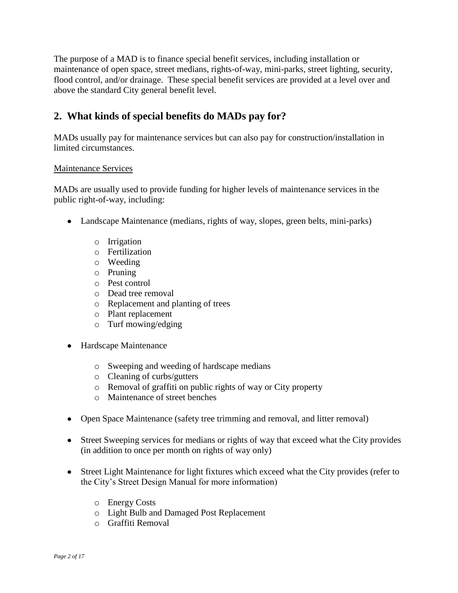The purpose of a MAD is to finance special benefit services, including installation or maintenance of open space, street medians, rights-of-way, mini-parks, street lighting, security, flood control, and/or drainage. These special benefit services are provided at a level over and above the standard City general benefit level.

## **2. What kinds of special benefits do MADs pay for?**

MADs usually pay for maintenance services but can also pay for construction/installation in limited circumstances.

#### Maintenance Services

MADs are usually used to provide funding for higher levels of maintenance services in the public right-of-way, including:

- Landscape Maintenance (medians, rights of way, slopes, green belts, mini-parks)
	- o Irrigation
	- o Fertilization
	- o Weeding
	- o Pruning
	- o Pest control
	- o Dead tree removal
	- o Replacement and planting of trees
	- o Plant replacement
	- o Turf mowing/edging
- Hardscape Maintenance
	- o Sweeping and weeding of hardscape medians
	- o Cleaning of curbs/gutters
	- o Removal of graffiti on public rights of way or City property
	- o Maintenance of street benches
- Open Space Maintenance (safety tree trimming and removal, and litter removal)
- Street Sweeping services for medians or rights of way that exceed what the City provides (in addition to once per month on rights of way only)
- Street Light Maintenance for light fixtures which exceed what the City provides (refer to the City's Street Design Manual for more information)
	- o Energy Costs
	- o Light Bulb and Damaged Post Replacement
	- o Graffiti Removal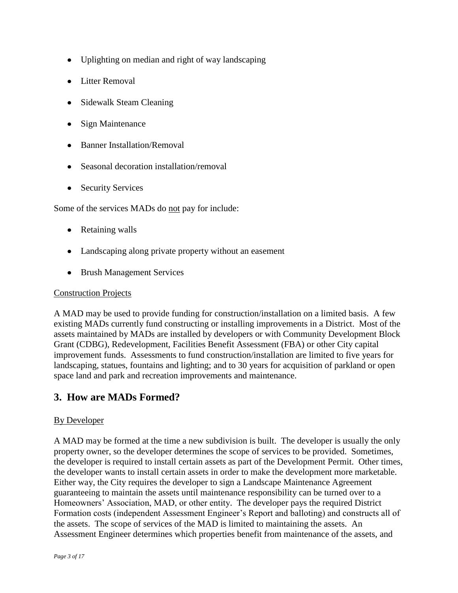- Uplighting on median and right of way landscaping
- Litter Removal
- Sidewalk Steam Cleaning
- Sign Maintenance
- Banner Installation/Removal
- Seasonal decoration installation/removal
- Security Services

Some of the services MADs do not pay for include:

- Retaining walls
- Landscaping along private property without an easement
- Brush Management Services

#### Construction Projects

A MAD may be used to provide funding for construction/installation on a limited basis. A few existing MADs currently fund constructing or installing improvements in a District. Most of the assets maintained by MADs are installed by developers or with Community Development Block Grant (CDBG), Redevelopment, Facilities Benefit Assessment (FBA) or other City capital improvement funds. Assessments to fund construction/installation are limited to five years for landscaping, statues, fountains and lighting; and to 30 years for acquisition of parkland or open space land and park and recreation improvements and maintenance.

### **3. How are MADs Formed?**

#### By Developer

A MAD may be formed at the time a new subdivision is built. The developer is usually the only property owner, so the developer determines the scope of services to be provided. Sometimes, the developer is required to install certain assets as part of the Development Permit. Other times, the developer wants to install certain assets in order to make the development more marketable. Either way, the City requires the developer to sign a Landscape Maintenance Agreement guaranteeing to maintain the assets until maintenance responsibility can be turned over to a Homeowners' Association, MAD, or other entity. The developer pays the required District Formation costs (independent Assessment Engineer's Report and balloting) and constructs all of the assets. The scope of services of the MAD is limited to maintaining the assets. An Assessment Engineer determines which properties benefit from maintenance of the assets, and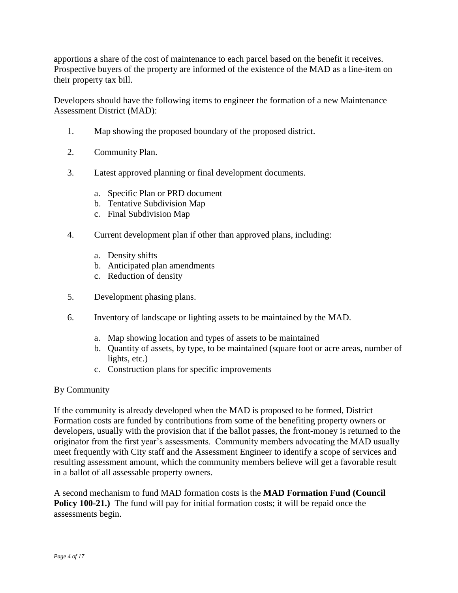apportions a share of the cost of maintenance to each parcel based on the benefit it receives. Prospective buyers of the property are informed of the existence of the MAD as a line-item on their property tax bill.

Developers should have the following items to engineer the formation of a new Maintenance Assessment District (MAD):

- 1. Map showing the proposed boundary of the proposed district.
- 2. Community Plan.
- 3. Latest approved planning or final development documents.
	- a. Specific Plan or PRD document
	- b. Tentative Subdivision Map
	- c. Final Subdivision Map
- 4. Current development plan if other than approved plans, including:
	- a. Density shifts
	- b. Anticipated plan amendments
	- c. Reduction of density
- 5. Development phasing plans.
- 6. Inventory of landscape or lighting assets to be maintained by the MAD.
	- a. Map showing location and types of assets to be maintained
	- b. Quantity of assets, by type, to be maintained (square foot or acre areas, number of lights, etc.)
	- c. Construction plans for specific improvements

#### By Community

If the community is already developed when the MAD is proposed to be formed, District Formation costs are funded by contributions from some of the benefiting property owners or developers, usually with the provision that if the ballot passes, the front-money is returned to the originator from the first year's assessments. Community members advocating the MAD usually meet frequently with City staff and the Assessment Engineer to identify a scope of services and resulting assessment amount, which the community members believe will get a favorable result in a ballot of all assessable property owners.

A second mechanism to fund MAD formation costs is the **MAD Formation Fund (Council Policy 100-21.**) The fund will pay for initial formation costs; it will be repaid once the assessments begin.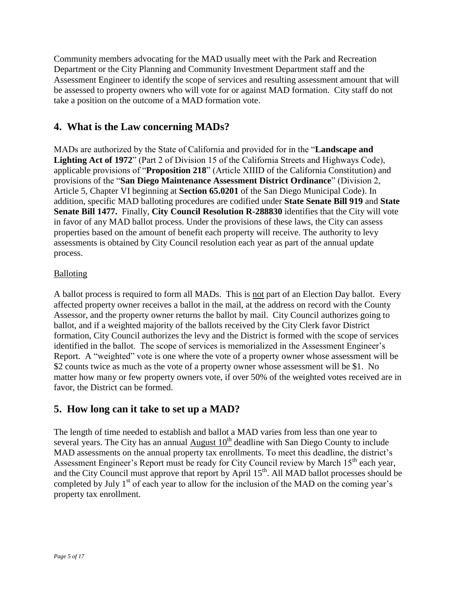Community members advocating for the MAD usually meet with the Park and Recreation Department or the City Planning and Community Investment Department staff and the Assessment Engineer to identify the scope of services and resulting assessment amount that will be assessed to property owners who will vote for or against MAD formation. City staff do not take a position on the outcome of a MAD formation vote.

## **4. What is the Law concerning MADs?**

MADs are authorized by the State of California and provided for in the "**Landscape and Lighting Act of 1972**" (Part 2 of Division 15 of the California Streets and Highways Code), applicable provisions of "**Proposition 218**" (Article XIIID of the California Constitution) and provisions of the "**San Diego Maintenance Assessment District Ordinance**" (Division 2, Article 5, Chapter VI beginning at **Section 65.0201** of the San Diego Municipal Code). In addition, specific MAD balloting procedures are codified under **State Senate Bill 919** and **State Senate Bill 1477.** Finally, **City Council Resolution R-288830** identifies that the City will vote in favor of any MAD ballot process. Under the provisions of these laws, the City can assess properties based on the amount of benefit each property will receive. The authority to levy assessments is obtained by City Council resolution each year as part of the annual update process.

### Balloting

A ballot process is required to form all MADs. This is not part of an Election Day ballot. Every affected property owner receives a ballot in the mail, at the address on record with the County Assessor, and the property owner returns the ballot by mail. City Council authorizes going to ballot, and if a weighted majority of the ballots received by the City Clerk favor District formation, City Council authorizes the levy and the District is formed with the scope of services identified in the ballot. The scope of services is memorialized in the Assessment Engineer's Report. A "weighted" vote is one where the vote of a property owner whose assessment will be \$2 counts twice as much as the vote of a property owner whose assessment will be \$1. No matter how many or few property owners vote, if over 50% of the weighted votes received are in favor, the District can be formed.

### **5. How long can it take to set up a MAD?**

The length of time needed to establish and ballot a MAD varies from less than one year to several years. The City has an annual August  $10<sup>th</sup>$  deadline with San Diego County to include MAD assessments on the annual property tax enrollments. To meet this deadline, the district's Assessment Engineer's Report must be ready for City Council review by March 15<sup>th</sup> each year, and the City Council must approve that report by April  $15<sup>th</sup>$ . All MAD ballot processes should be completed by July  $1<sup>st</sup>$  of each year to allow for the inclusion of the MAD on the coming year's property tax enrollment.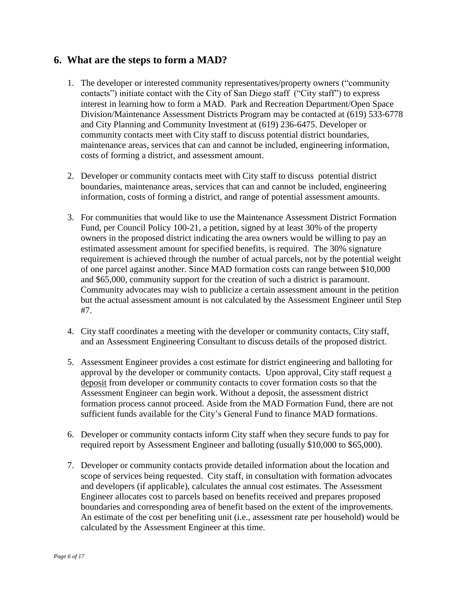### **6. What are the steps to form a MAD?**

- 1. The developer or interested community representatives/property owners ("community contacts") initiate contact with the City of San Diego staff ("City staff") to express interest in learning how to form a MAD. Park and Recreation Department/Open Space Division/Maintenance Assessment Districts Program may be contacted at (619) 533-6778 and City Planning and Community Investment at (619) 236-6475. Developer or community contacts meet with City staff to discuss potential district boundaries, maintenance areas, services that can and cannot be included, engineering information, costs of forming a district, and assessment amount.
- 2. Developer or community contacts meet with City staff to discuss potential district boundaries, maintenance areas, services that can and cannot be included, engineering information, costs of forming a district, and range of potential assessment amounts.
- 3. For communities that would like to use the Maintenance Assessment District Formation Fund, per Council Policy 100-21, a petition, signed by at least 30% of the property owners in the proposed district indicating the area owners would be willing to pay an estimated assessment amount for specified benefits, is required. The 30% signature requirement is achieved through the number of actual parcels, not by the potential weight of one parcel against another. Since MAD formation costs can range between \$10,000 and \$65,000, community support for the creation of such a district is paramount. Community advocates may wish to publicize a certain assessment amount in the petition but the actual assessment amount is not calculated by the Assessment Engineer until Step #7.
- 4. City staff coordinates a meeting with the developer or community contacts, City staff, and an Assessment Engineering Consultant to discuss details of the proposed district.
- 5. Assessment Engineer provides a cost estimate for district engineering and balloting for approval by the developer or community contacts. Upon approval, City staff request a deposit from developer or community contacts to cover formation costs so that the Assessment Engineer can begin work. Without a deposit, the assessment district formation process cannot proceed. Aside from the MAD Formation Fund, there are not sufficient funds available for the City's General Fund to finance MAD formations.
- 6. Developer or community contacts inform City staff when they secure funds to pay for required report by Assessment Engineer and balloting (usually \$10,000 to \$65,000).
- 7. Developer or community contacts provide detailed information about the location and scope of services being requested. City staff, in consultation with formation advocates and developers (if applicable), calculates the annual cost estimates. The Assessment Engineer allocates cost to parcels based on benefits received and prepares proposed boundaries and corresponding area of benefit based on the extent of the improvements. An estimate of the cost per benefiting unit (i.e., assessment rate per household) would be calculated by the Assessment Engineer at this time.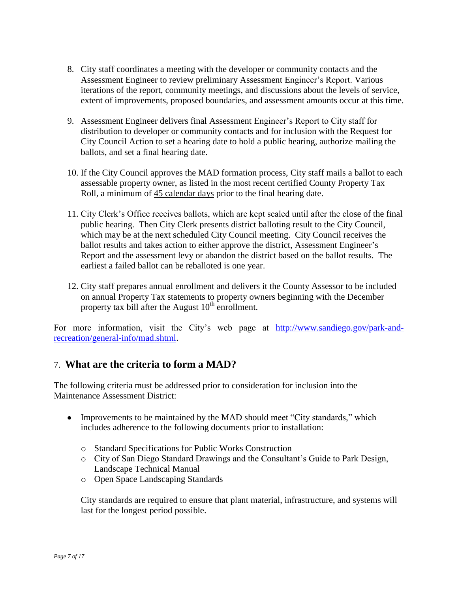- 8. City staff coordinates a meeting with the developer or community contacts and the Assessment Engineer to review preliminary Assessment Engineer's Report. Various iterations of the report, community meetings, and discussions about the levels of service, extent of improvements, proposed boundaries, and assessment amounts occur at this time.
- 9. Assessment Engineer delivers final Assessment Engineer's Report to City staff for distribution to developer or community contacts and for inclusion with the Request for City Council Action to set a hearing date to hold a public hearing, authorize mailing the ballots, and set a final hearing date.
- 10. If the City Council approves the MAD formation process, City staff mails a ballot to each assessable property owner, as listed in the most recent certified County Property Tax Roll, a minimum of 45 calendar days prior to the final hearing date.
- 11. City Clerk's Office receives ballots, which are kept sealed until after the close of the final public hearing. Then City Clerk presents district balloting result to the City Council, which may be at the next scheduled City Council meeting. City Council receives the ballot results and takes action to either approve the district, Assessment Engineer's Report and the assessment levy or abandon the district based on the ballot results. The earliest a failed ballot can be reballoted is one year.
- 12. City staff prepares annual enrollment and delivers it the County Assessor to be included on annual Property Tax statements to property owners beginning with the December property tax bill after the August  $10^{th}$  enrollment.

For more information, visit the City's web page at [http://www.sandiego.gov/park-and](http://www.sandiego.gov/park-and-recreation/general-info/mad.shtml)[recreation/general-info/mad.shtml.](http://www.sandiego.gov/park-and-recreation/general-info/mad.shtml)

### 7. **What are the criteria to form a MAD?**

The following criteria must be addressed prior to consideration for inclusion into the Maintenance Assessment District:

- Improvements to be maintained by the MAD should meet "City standards," which includes adherence to the following documents prior to installation:
	- o Standard Specifications for Public Works Construction
	- o City of San Diego Standard Drawings and the Consultant's Guide to Park Design, Landscape Technical Manual
	- o Open Space Landscaping Standards

City standards are required to ensure that plant material, infrastructure, and systems will last for the longest period possible.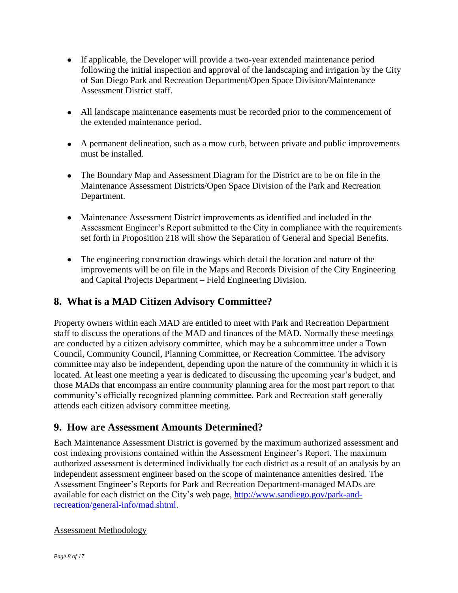- If applicable, the Developer will provide a two-year extended maintenance period following the initial inspection and approval of the landscaping and irrigation by the City of San Diego Park and Recreation Department/Open Space Division/Maintenance Assessment District staff.
- All landscape maintenance easements must be recorded prior to the commencement of the extended maintenance period.
- A permanent delineation, such as a mow curb, between private and public improvements must be installed.
- The Boundary Map and Assessment Diagram for the District are to be on file in the Maintenance Assessment Districts/Open Space Division of the Park and Recreation Department.
- Maintenance Assessment District improvements as identified and included in the Assessment Engineer's Report submitted to the City in compliance with the requirements set forth in Proposition 218 will show the Separation of General and Special Benefits.
- The engineering construction drawings which detail the location and nature of the improvements will be on file in the Maps and Records Division of the City Engineering and Capital Projects Department – Field Engineering Division.

# **8. What is a MAD Citizen Advisory Committee?**

Property owners within each MAD are entitled to meet with Park and Recreation Department staff to discuss the operations of the MAD and finances of the MAD. Normally these meetings are conducted by a citizen advisory committee, which may be a subcommittee under a Town Council, Community Council, Planning Committee, or Recreation Committee. The advisory committee may also be independent, depending upon the nature of the community in which it is located. At least one meeting a year is dedicated to discussing the upcoming year's budget, and those MADs that encompass an entire community planning area for the most part report to that community's officially recognized planning committee. Park and Recreation staff generally attends each citizen advisory committee meeting.

### **9. How are Assessment Amounts Determined?**

Each Maintenance Assessment District is governed by the maximum authorized assessment and cost indexing provisions contained within the Assessment Engineer's Report. The maximum authorized assessment is determined individually for each district as a result of an analysis by an independent assessment engineer based on the scope of maintenance amenities desired. The Assessment Engineer's Reports for Park and Recreation Department-managed MADs are available for each district on the City's web page, [http://www.sandiego.gov/park-and](http://www.sandiego.gov/park-and-recreation/general-info/mad.shtml)[recreation/general-info/mad.shtml.](http://www.sandiego.gov/park-and-recreation/general-info/mad.shtml)

### Assessment Methodology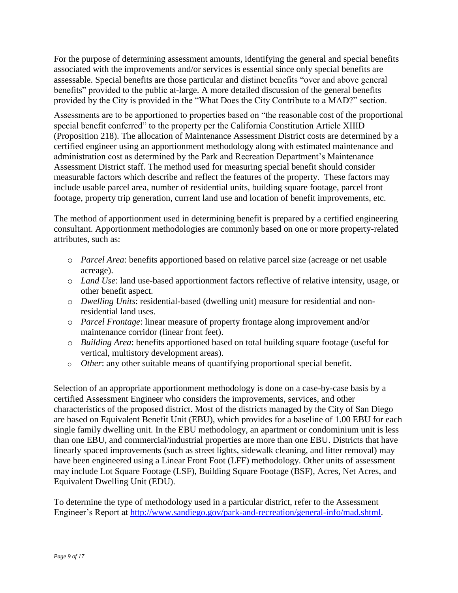For the purpose of determining assessment amounts, identifying the general and special benefits associated with the improvements and/or services is essential since only special benefits are assessable. Special benefits are those particular and distinct benefits "over and above general benefits" provided to the public at-large. A more detailed discussion of the general benefits provided by the City is provided in the "What Does the City Contribute to a MAD?" section.

Assessments are to be apportioned to properties based on "the reasonable cost of the proportional special benefit conferred" to the property per the California Constitution Article XIIID (Proposition 218). The allocation of Maintenance Assessment District costs are determined by a certified engineer using an apportionment methodology along with estimated maintenance and administration cost as determined by the Park and Recreation Department's Maintenance Assessment District staff. The method used for measuring special benefit should consider measurable factors which describe and reflect the features of the property. These factors may include usable parcel area, number of residential units, building square footage, parcel front footage, property trip generation, current land use and location of benefit improvements, etc.

The method of apportionment used in determining benefit is prepared by a certified engineering consultant. Apportionment methodologies are commonly based on one or more property-related attributes, such as:

- o *Parcel Area*: benefits apportioned based on relative parcel size (acreage or net usable acreage).
- o *Land Use*: land use-based apportionment factors reflective of relative intensity, usage, or other benefit aspect.
- o *Dwelling Units*: residential-based (dwelling unit) measure for residential and nonresidential land uses.
- o *Parcel Frontage*: linear measure of property frontage along improvement and/or maintenance corridor (linear front feet).
- o *Building Area*: benefits apportioned based on total building square footage (useful for vertical, multistory development areas).
- o *Other*: any other suitable means of quantifying proportional special benefit.

Selection of an appropriate apportionment methodology is done on a case-by-case basis by a certified Assessment Engineer who considers the improvements, services, and other characteristics of the proposed district. Most of the districts managed by the City of San Diego are based on Equivalent Benefit Unit (EBU), which provides for a baseline of 1.00 EBU for each single family dwelling unit. In the EBU methodology, an apartment or condominium unit is less than one EBU, and commercial/industrial properties are more than one EBU. Districts that have linearly spaced improvements (such as street lights, sidewalk cleaning, and litter removal) may have been engineered using a Linear Front Foot (LFF) methodology. Other units of assessment may include Lot Square Footage (LSF), Building Square Footage (BSF), Acres, Net Acres, and Equivalent Dwelling Unit (EDU).

To determine the type of methodology used in a particular district, refer to the Assessment Engineer's Report at [http://www.sandiego.gov/park-and-recreation/general-info/mad.shtml.](http://www.sandiego.gov/park-and-recreation/general-info/mad.shtml)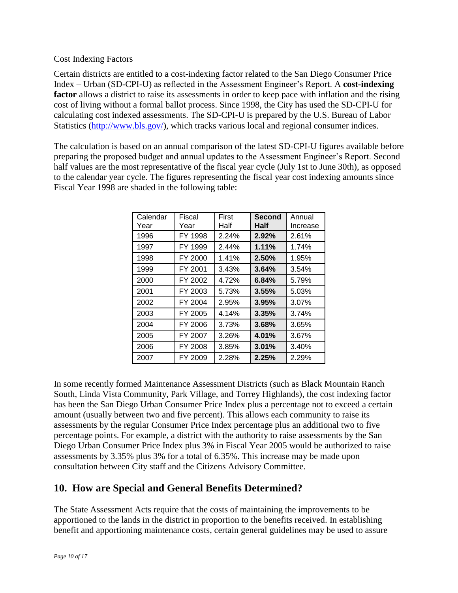### Cost Indexing Factors

Certain districts are entitled to a cost-indexing factor related to the San Diego Consumer Price Index – Urban (SD-CPI-U) as reflected in the Assessment Engineer's Report. A **cost-indexing**  factor allows a district to raise its assessments in order to keep pace with inflation and the rising cost of living without a formal ballot process. Since 1998, the City has used the SD-CPI-U for calculating cost indexed assessments. The SD-CPI-U is prepared by the U.S. Bureau of Labor Statistics [\(http://www.bls.gov/\)](http://www.bls.gov/), which tracks various local and regional consumer indices.

The calculation is based on an annual comparison of the latest SD-CPI-U figures available before preparing the proposed budget and annual updates to the Assessment Engineer's Report. Second half values are the most representative of the fiscal year cycle (July 1st to June 30th), as opposed to the calendar year cycle. The figures representing the fiscal year cost indexing amounts since Fiscal Year 1998 are shaded in the following table:

| Calendar<br>Year | Fiscal<br>Year | First<br>Half | Second<br>Half | Annual<br>Increase |
|------------------|----------------|---------------|----------------|--------------------|
| 1996             | FY 1998        | 2.24%         | $2.92\%$       | 2.61%              |
| 1997             | FY 1999        | 2.44%         | 1.11%          | 1.74%              |
| 1998             | FY 2000        | 1.41%         | 2.50%          | 1.95%              |
| 1999             | FY 2001        | 3.43%         | 3.64%          | $3.54\%$           |
| 2000             | FY 2002        | 4.72%         | $6.84\%$       | 5.79%              |
| 2001             | FY 2003        | 5.73%         | 3.55%          | 5.03%              |
| 2002             | FY 2004        | 2.95%         | $3.95\%$       | 3.07%              |
| 2003             | FY 2005        | 4.14%         | $3.35\%$       | 3.74%              |
| 2004             | FY 2006        | 3.73%         | 3.68%          | 3.65%              |
| 2005             | FY 2007        | 3.26%         | 4.01%          | 3.67%              |
| 2006             | FY 2008        | 3.85%         | 3.01%          | 3.40%              |
| 2007             | FY 2009        | 2.28%         | 2.25%          | 2.29%              |

In some recently formed Maintenance Assessment Districts (such as Black Mountain Ranch South, Linda Vista Community, Park Village, and Torrey Highlands), the cost indexing factor has been the San Diego Urban Consumer Price Index plus a percentage not to exceed a certain amount (usually between two and five percent). This allows each community to raise its assessments by the regular Consumer Price Index percentage plus an additional two to five percentage points. For example, a district with the authority to raise assessments by the San Diego Urban Consumer Price Index plus 3% in Fiscal Year 2005 would be authorized to raise assessments by 3.35% plus 3% for a total of 6.35%. This increase may be made upon consultation between City staff and the Citizens Advisory Committee.

### **10. How are Special and General Benefits Determined?**

The State Assessment Acts require that the costs of maintaining the improvements to be apportioned to the lands in the district in proportion to the benefits received. In establishing benefit and apportioning maintenance costs, certain general guidelines may be used to assure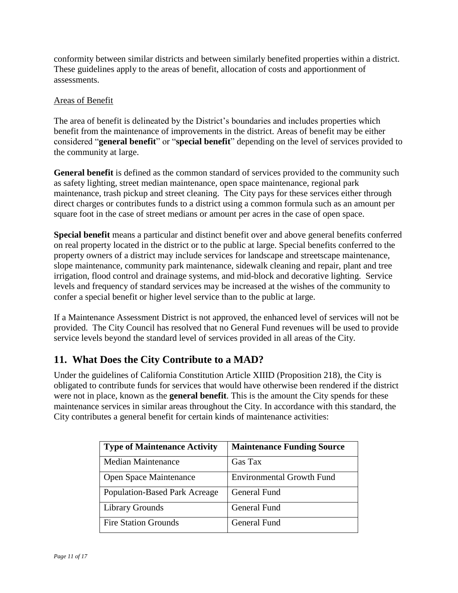conformity between similar districts and between similarly benefited properties within a district. These guidelines apply to the areas of benefit, allocation of costs and apportionment of assessments.

### Areas of Benefit

The area of benefit is delineated by the District's boundaries and includes properties which benefit from the maintenance of improvements in the district. Areas of benefit may be either considered "**general benefit**" or "**special benefit**" depending on the level of services provided to the community at large.

**General benefit** is defined as the common standard of services provided to the community such as safety lighting, street median maintenance, open space maintenance, regional park maintenance, trash pickup and street cleaning. The City pays for these services either through direct charges or contributes funds to a district using a common formula such as an amount per square foot in the case of street medians or amount per acres in the case of open space.

**Special benefit** means a particular and distinct benefit over and above general benefits conferred on real property located in the district or to the public at large. Special benefits conferred to the property owners of a district may include services for landscape and streetscape maintenance, slope maintenance, community park maintenance, sidewalk cleaning and repair, plant and tree irrigation, flood control and drainage systems, and mid-block and decorative lighting. Service levels and frequency of standard services may be increased at the wishes of the community to confer a special benefit or higher level service than to the public at large.

If a Maintenance Assessment District is not approved, the enhanced level of services will not be provided. The City Council has resolved that no General Fund revenues will be used to provide service levels beyond the standard level of services provided in all areas of the City.

# **11. What Does the City Contribute to a MAD?**

Under the guidelines of California Constitution Article XIIID (Proposition 218), the City is obligated to contribute funds for services that would have otherwise been rendered if the district were not in place, known as the **general benefit**. This is the amount the City spends for these maintenance services in similar areas throughout the City. In accordance with this standard, the City contributes a general benefit for certain kinds of maintenance activities:

| <b>Type of Maintenance Activity</b>  | <b>Maintenance Funding Source</b> |
|--------------------------------------|-----------------------------------|
| <b>Median Maintenance</b>            | Gas Tax                           |
| Open Space Maintenance               | <b>Environmental Growth Fund</b>  |
| <b>Population-Based Park Acreage</b> | <b>General Fund</b>               |
| <b>Library Grounds</b>               | <b>General Fund</b>               |
| <b>Fire Station Grounds</b>          | <b>General Fund</b>               |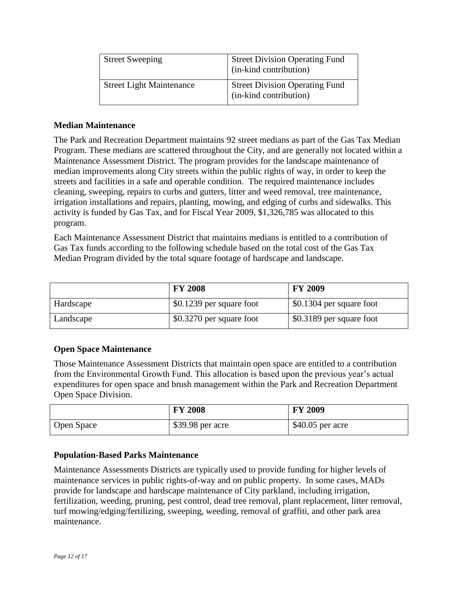| <b>Street Sweeping</b>          | <b>Street Division Operating Fund</b><br>(in-kind contribution) |
|---------------------------------|-----------------------------------------------------------------|
| <b>Street Light Maintenance</b> | <b>Street Division Operating Fund</b><br>(in-kind contribution) |

### **Median Maintenance**

The Park and Recreation Department maintains 92 street medians as part of the Gas Tax Median Program. These medians are scattered throughout the City, and are generally not located within a Maintenance Assessment District. The program provides for the landscape maintenance of median improvements along City streets within the public rights of way, in order to keep the streets and facilities in a safe and operable condition. The required maintenance includes cleaning, sweeping, repairs to curbs and gutters, litter and weed removal, tree maintenance, irrigation installations and repairs, planting, mowing, and edging of curbs and sidewalks. This activity is funded by Gas Tax, and for Fiscal Year 2009, \$1,326,785 was allocated to this program.

Each Maintenance Assessment District that maintains medians is entitled to a contribution of Gas Tax funds according to the following schedule based on the total cost of the Gas Tax Median Program divided by the total square footage of hardscape and landscape.

|           | <b>FY 2008</b>           | <b>FY 2009</b>           |
|-----------|--------------------------|--------------------------|
| Hardscape | \$0.1239 per square foot | \$0.1304 per square foot |
| Landscape | \$0.3270 per square foot | \$0.3189 per square foot |

### **Open Space Maintenance**

Those Maintenance Assessment Districts that maintain open space are entitled to a contribution from the Environmental Growth Fund. This allocation is based upon the previous year's actual expenditures for open space and brush management within the Park and Recreation Department Open Space Division.

|            | <b>FY 2008</b>    | <b>FY 2009</b>    |
|------------|-------------------|-------------------|
| Open Space | $$39.98$ per acre | $$40.05$ per acre |

#### **Population-Based Parks Maintenance**

Maintenance Assessments Districts are typically used to provide funding for higher levels of maintenance services in public rights-of-way and on public property. In some cases, MADs provide for landscape and hardscape maintenance of City parkland, including irrigation, fertilization, weeding, pruning, pest control, dead tree removal, plant replacement, litter removal, turf mowing/edging/fertilizing, sweeping, weeding, removal of graffiti, and other park area maintenance.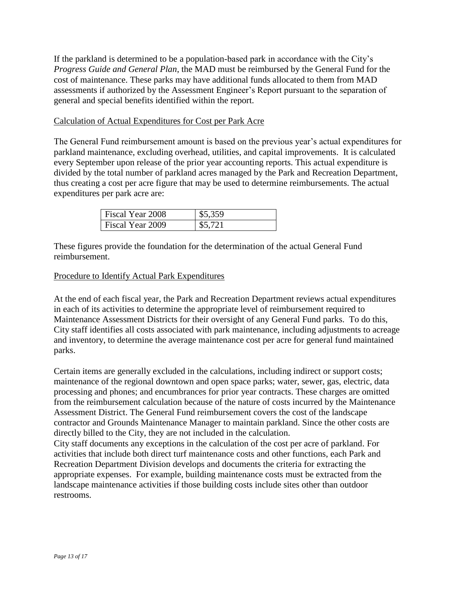If the parkland is determined to be a population-based park in accordance with the City's *Progress Guide and General Plan*, the MAD must be reimbursed by the General Fund for the cost of maintenance. These parks may have additional funds allocated to them from MAD assessments if authorized by the Assessment Engineer's Report pursuant to the separation of general and special benefits identified within the report.

### Calculation of Actual Expenditures for Cost per Park Acre

The General Fund reimbursement amount is based on the previous year's actual expenditures for parkland maintenance, excluding overhead, utilities, and capital improvements. It is calculated every September upon release of the prior year accounting reports. This actual expenditure is divided by the total number of parkland acres managed by the Park and Recreation Department, thus creating a cost per acre figure that may be used to determine reimbursements. The actual expenditures per park acre are:

| Fiscal Year 2008 | \$5,359 |
|------------------|---------|
| Fiscal Year 2009 | \$5,721 |

These figures provide the foundation for the determination of the actual General Fund reimbursement.

#### Procedure to Identify Actual Park Expenditures

At the end of each fiscal year, the Park and Recreation Department reviews actual expenditures in each of its activities to determine the appropriate level of reimbursement required to Maintenance Assessment Districts for their oversight of any General Fund parks. To do this, City staff identifies all costs associated with park maintenance, including adjustments to acreage and inventory, to determine the average maintenance cost per acre for general fund maintained parks.

Certain items are generally excluded in the calculations, including indirect or support costs; maintenance of the regional downtown and open space parks; water, sewer, gas, electric, data processing and phones; and encumbrances for prior year contracts. These charges are omitted from the reimbursement calculation because of the nature of costs incurred by the Maintenance Assessment District. The General Fund reimbursement covers the cost of the landscape contractor and Grounds Maintenance Manager to maintain parkland. Since the other costs are directly billed to the City, they are not included in the calculation.

City staff documents any exceptions in the calculation of the cost per acre of parkland. For activities that include both direct turf maintenance costs and other functions, each Park and Recreation Department Division develops and documents the criteria for extracting the appropriate expenses. For example, building maintenance costs must be extracted from the landscape maintenance activities if those building costs include sites other than outdoor restrooms.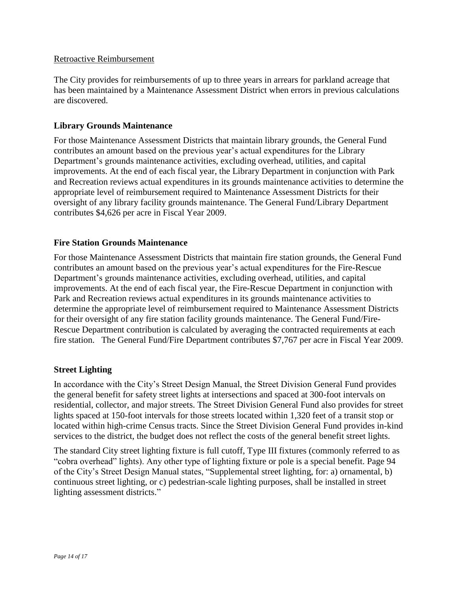#### Retroactive Reimbursement

The City provides for reimbursements of up to three years in arrears for parkland acreage that has been maintained by a Maintenance Assessment District when errors in previous calculations are discovered.

#### **Library Grounds Maintenance**

For those Maintenance Assessment Districts that maintain library grounds, the General Fund contributes an amount based on the previous year's actual expenditures for the Library Department's grounds maintenance activities, excluding overhead, utilities, and capital improvements. At the end of each fiscal year, the Library Department in conjunction with Park and Recreation reviews actual expenditures in its grounds maintenance activities to determine the appropriate level of reimbursement required to Maintenance Assessment Districts for their oversight of any library facility grounds maintenance. The General Fund/Library Department contributes \$4,626 per acre in Fiscal Year 2009.

#### **Fire Station Grounds Maintenance**

For those Maintenance Assessment Districts that maintain fire station grounds, the General Fund contributes an amount based on the previous year's actual expenditures for the Fire-Rescue Department's grounds maintenance activities, excluding overhead, utilities, and capital improvements. At the end of each fiscal year, the Fire-Rescue Department in conjunction with Park and Recreation reviews actual expenditures in its grounds maintenance activities to determine the appropriate level of reimbursement required to Maintenance Assessment Districts for their oversight of any fire station facility grounds maintenance. The General Fund/Fire-Rescue Department contribution is calculated by averaging the contracted requirements at each fire station. The General Fund/Fire Department contributes \$7,767 per acre in Fiscal Year 2009.

#### **Street Lighting**

In accordance with the City's Street Design Manual, the Street Division General Fund provides the general benefit for safety street lights at intersections and spaced at 300-foot intervals on residential, collector, and major streets. The Street Division General Fund also provides for street lights spaced at 150-foot intervals for those streets located within 1,320 feet of a transit stop or located within high-crime Census tracts. Since the Street Division General Fund provides in-kind services to the district, the budget does not reflect the costs of the general benefit street lights.

The standard City street lighting fixture is full cutoff, Type III fixtures (commonly referred to as "cobra overhead" lights). Any other type of lighting fixture or pole is a special benefit. Page 94 of the City's Street Design Manual states, "Supplemental street lighting, for: a) ornamental, b) continuous street lighting, or c) pedestrian-scale lighting purposes, shall be installed in street lighting assessment districts."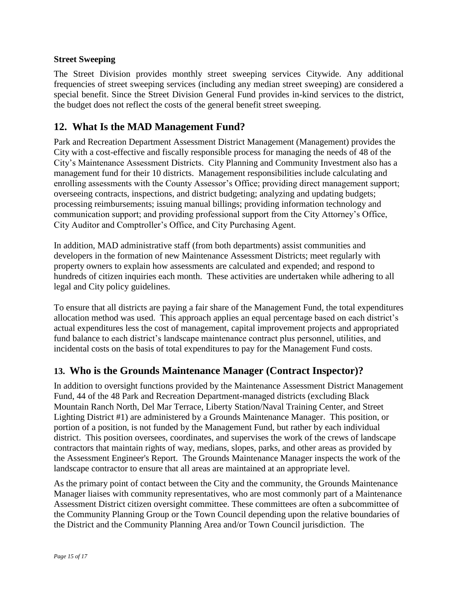### **Street Sweeping**

The Street Division provides monthly street sweeping services Citywide. Any additional frequencies of street sweeping services (including any median street sweeping) are considered a special benefit. Since the Street Division General Fund provides in-kind services to the district, the budget does not reflect the costs of the general benefit street sweeping.

### **12. What Is the MAD Management Fund?**

Park and Recreation Department Assessment District Management (Management) provides the City with a cost-effective and fiscally responsible process for managing the needs of 48 of the City's Maintenance Assessment Districts. City Planning and Community Investment also has a management fund for their 10 districts. Management responsibilities include calculating and enrolling assessments with the County Assessor's Office; providing direct management support; overseeing contracts, inspections, and district budgeting; analyzing and updating budgets; processing reimbursements; issuing manual billings; providing information technology and communication support; and providing professional support from the City Attorney's Office, City Auditor and Comptroller's Office, and City Purchasing Agent.

In addition, MAD administrative staff (from both departments) assist communities and developers in the formation of new Maintenance Assessment Districts; meet regularly with property owners to explain how assessments are calculated and expended; and respond to hundreds of citizen inquiries each month. These activities are undertaken while adhering to all legal and City policy guidelines.

To ensure that all districts are paying a fair share of the Management Fund, the total expenditures allocation method was used. This approach applies an equal percentage based on each district's actual expenditures less the cost of management, capital improvement projects and appropriated fund balance to each district's landscape maintenance contract plus personnel, utilities, and incidental costs on the basis of total expenditures to pay for the Management Fund costs.

### **13. Who is the Grounds Maintenance Manager (Contract Inspector)?**

In addition to oversight functions provided by the Maintenance Assessment District Management Fund, 44 of the 48 Park and Recreation Department-managed districts (excluding Black Mountain Ranch North, Del Mar Terrace, Liberty Station/Naval Training Center, and Street Lighting District #1) are administered by a Grounds Maintenance Manager. This position, or portion of a position, is not funded by the Management Fund, but rather by each individual district. This position oversees, coordinates, and supervises the work of the crews of landscape contractors that maintain rights of way, medians, slopes, parks, and other areas as provided by the Assessment Engineer's Report. The Grounds Maintenance Manager inspects the work of the landscape contractor to ensure that all areas are maintained at an appropriate level.

As the primary point of contact between the City and the community, the Grounds Maintenance Manager liaises with community representatives, who are most commonly part of a Maintenance Assessment District citizen oversight committee. These committees are often a subcommittee of the Community Planning Group or the Town Council depending upon the relative boundaries of the District and the Community Planning Area and/or Town Council jurisdiction. The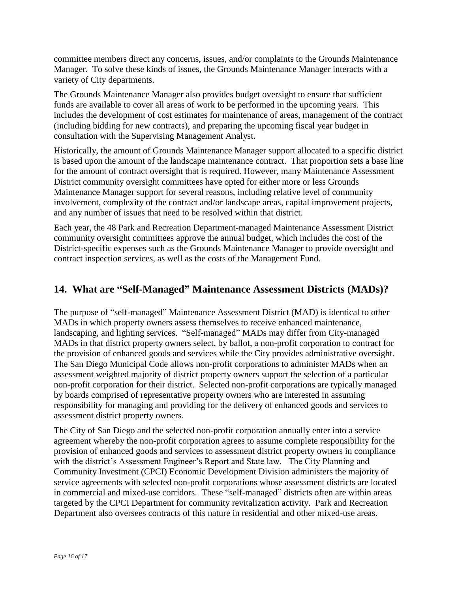committee members direct any concerns, issues, and/or complaints to the Grounds Maintenance Manager. To solve these kinds of issues, the Grounds Maintenance Manager interacts with a variety of City departments.

The Grounds Maintenance Manager also provides budget oversight to ensure that sufficient funds are available to cover all areas of work to be performed in the upcoming years. This includes the development of cost estimates for maintenance of areas, management of the contract (including bidding for new contracts), and preparing the upcoming fiscal year budget in consultation with the Supervising Management Analyst.

Historically, the amount of Grounds Maintenance Manager support allocated to a specific district is based upon the amount of the landscape maintenance contract. That proportion sets a base line for the amount of contract oversight that is required. However, many Maintenance Assessment District community oversight committees have opted for either more or less Grounds Maintenance Manager support for several reasons, including relative level of community involvement, complexity of the contract and/or landscape areas, capital improvement projects, and any number of issues that need to be resolved within that district.

Each year, the 48 Park and Recreation Department-managed Maintenance Assessment District community oversight committees approve the annual budget, which includes the cost of the District-specific expenses such as the Grounds Maintenance Manager to provide oversight and contract inspection services, as well as the costs of the Management Fund.

### **14. What are "Self-Managed" Maintenance Assessment Districts (MADs)?**

The purpose of "self-managed" Maintenance Assessment District (MAD) is identical to other MADs in which property owners assess themselves to receive enhanced maintenance, landscaping, and lighting services. "Self-managed" MADs may differ from City-managed MADs in that district property owners select, by ballot, a non-profit corporation to contract for the provision of enhanced goods and services while the City provides administrative oversight. The San Diego Municipal Code allows non-profit corporations to administer MADs when an assessment weighted majority of district property owners support the selection of a particular non-profit corporation for their district. Selected non-profit corporations are typically managed by boards comprised of representative property owners who are interested in assuming responsibility for managing and providing for the delivery of enhanced goods and services to assessment district property owners.

The City of San Diego and the selected non-profit corporation annually enter into a service agreement whereby the non-profit corporation agrees to assume complete responsibility for the provision of enhanced goods and services to assessment district property owners in compliance with the district's Assessment Engineer's Report and State law. The City Planning and Community Investment (CPCI) Economic Development Division administers the majority of service agreements with selected non-profit corporations whose assessment districts are located in commercial and mixed-use corridors. These "self-managed" districts often are within areas targeted by the CPCI Department for community revitalization activity. Park and Recreation Department also oversees contracts of this nature in residential and other mixed-use areas.